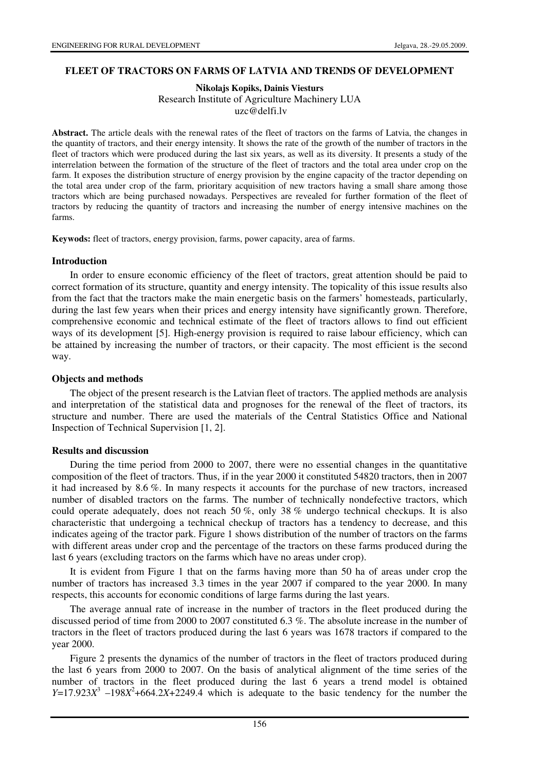### **FLEET OF TRACTORS ON FARMS OF LATVIA AND TRENDS OF DEVELOPMENT**

#### **Nikolajs Kopiks, Dainis Viesturs**  Research Institute of Agriculture Machinery LUA uzc@delfi.lv

**Abstract.** The article deals with the renewal rates of the fleet of tractors on the farms of Latvia, the changes in the quantity of tractors, and their energy intensity. It shows the rate of the growth of the number of tractors in the fleet of tractors which were produced during the last six years, as well as its diversity. It presents a study of the interrelation between the formation of the structure of the fleet of tractors and the total area under crop on the farm. It exposes the distribution structure of energy provision by the engine capacity of the tractor depending on the total area under crop of the farm, prioritary acquisition of new tractors having a small share among those tractors which are being purchased nowadays. Perspectives are revealed for further formation of the fleet of tractors by reducing the quantity of tractors and increasing the number of energy intensive machines on the farms.

**Keywods:** fleet of tractors, energy provision, farms, power capacity, area of farms.

### **Introduction**

In order to ensure economic efficiency of the fleet of tractors, great attention should be paid to correct formation of its structure, quantity and energy intensity. The topicality of this issue results also from the fact that the tractors make the main energetic basis on the farmers' homesteads, particularly, during the last few years when their prices and energy intensity have significantly grown. Therefore, comprehensive economic and technical estimate of the fleet of tractors allows to find out efficient ways of its development [5]. High-energy provision is required to raise labour efficiency, which can be attained by increasing the number of tractors, or their capacity. The most efficient is the second way.

### **Objects and methods**

The object of the present research is the Latvian fleet of tractors. The applied methods are analysis and interpretation of the statistical data and prognoses for the renewal of the fleet of tractors, its structure and number. There are used the materials of the Central Statistics Office and National Inspection of Technical Supervision [1, 2].

## **Results and discussion**

During the time period from 2000 to 2007, there were no essential changes in the quantitative composition of the fleet of tractors. Thus, if in the year 2000 it constituted 54820 tractors, then in 2007 it had increased by 8.6 %. In many respects it accounts for the purchase of new tractors, increased number of disabled tractors on the farms. The number of technically nondefective tractors, which could operate adequately, does not reach 50 %, only 38 % undergo technical checkups. It is also characteristic that undergoing a technical checkup of tractors has a tendency to decrease, and this indicates ageing of the tractor park. Figure 1 shows distribution of the number of tractors on the farms with different areas under crop and the percentage of the tractors on these farms produced during the last 6 years (excluding tractors on the farms which have no areas under crop).

It is evident from Figure 1 that on the farms having more than 50 ha of areas under crop the number of tractors has increased 3.3 times in the year 2007 if compared to the year 2000. In many respects, this accounts for economic conditions of large farms during the last years.

The average annual rate of increase in the number of tractors in the fleet produced during the discussed period of time from 2000 to 2007 constituted 6.3 %. The absolute increase in the number of tractors in the fleet of tractors produced during the last 6 years was 1678 tractors if compared to the year 2000.

Figure 2 presents the dynamics of the number of tractors in the fleet of tractors produced during the last 6 years from 2000 to 2007. On the basis of analytical alignment of the time series of the number of tractors in the fleet produced during the last 6 years a trend model is obtained  $Y=17.923X^3$  -198*X*<sup>2</sup>+664.2*X*+2249.4 which is adequate to the basic tendency for the number the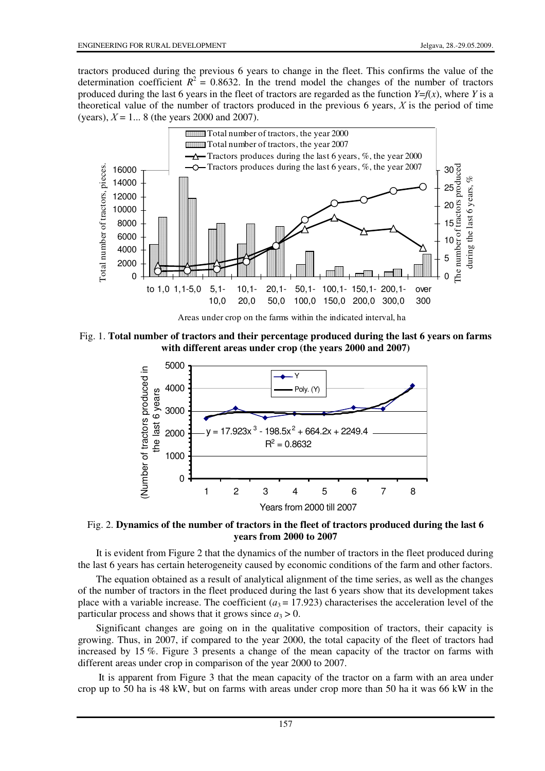tractors produced during the previous 6 years to change in the fleet. This confirms the value of the determination coefficient  $R^2 = 0.8632$ . In the trend model the changes of the number of tractors produced during the last 6 years in the fleet of tractors are regarded as the function  $Y=f(x)$ , where *Y* is a theoretical value of the number of tractors produced in the previous 6 years,  $X$  is the period of time (years),  $X = 1...8$  (the years 2000 and 2007).



Fig. 1. **Total number of tractors and their percentage produced during the last 6 years on farms with different areas under crop (the years 2000 and 2007)**



Fig. 2. **Dynamics of the number of tractors in the fleet of tractors produced during the last 6 years from 2000 to 2007** 

It is evident from Figure 2 that the dynamics of the number of tractors in the fleet produced during the last 6 years has certain heterogeneity caused by economic conditions of the farm and other factors.

The equation obtained as a result of analytical alignment of the time series, as well as the changes of the number of tractors in the fleet produced during the last 6 years show that its development takes place with a variable increase. The coefficient ( $a_3 = 17.923$ ) characterises the acceleration level of the particular process and shows that it grows since  $a_3 > 0$ .

Significant changes are going on in the qualitative composition of tractors, their capacity is growing. Thus, in 2007, if compared to the year 2000, the total capacity of the fleet of tractors had increased by 15 %. Figure 3 presents a change of the mean capacity of the tractor on farms with different areas under crop in comparison of the year 2000 to 2007.

 It is apparent from Figure 3 that the mean capacity of the tractor on a farm with an area under crop up to 50 ha is 48 kW, but on farms with areas under crop more than 50 ha it was 66 kW in the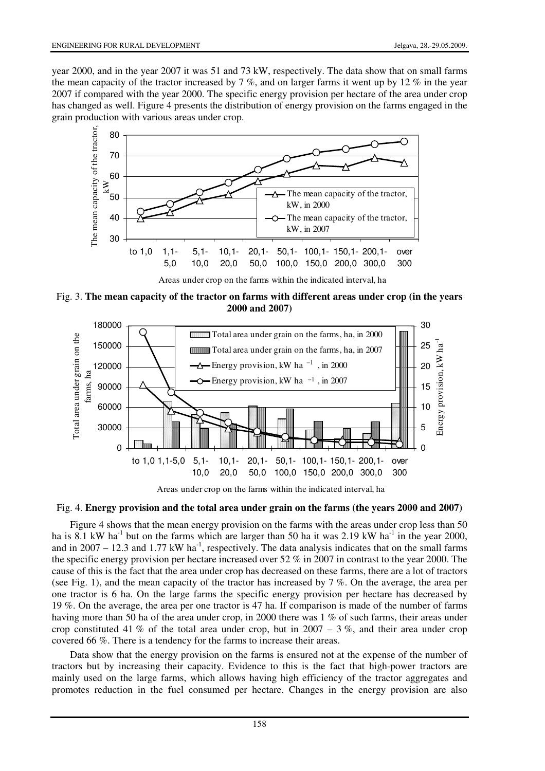year 2000, and in the year 2007 it was 51 and 73 kW, respectively. The data show that on small farms the mean capacity of the tractor increased by  $7\%$ , and on larger farms it went up by 12 % in the year 2007 if compared with the year 2000. The specific energy provision per hectare of the area under crop has changed as well. Figure 4 presents the distribution of energy provision on the farms engaged in the grain production with various areas under crop.



Areas under crop on the farms within the indicated interval, ha

Fig. 3. **The mean capacity of the tractor on farms with different areas under crop (in the years 2000 and 2007)**



Areas under crop on the farms within the indicated interval, ha

## Fig. 4. **Energy provision and the total area under grain on the farms (the years 2000 and 2007)**

Figure 4 shows that the mean energy provision on the farms with the areas under crop less than 50 ha is 8.1 kW ha<sup>-1</sup> but on the farms which are larger than 50 ha it was 2.19 kW ha<sup>-1</sup> in the year 2000, and in  $2007 - 12.3$  and  $1.77$  kW ha<sup>-1</sup>, respectively. The data analysis indicates that on the small farms the specific energy provision per hectare increased over 52 % in 2007 in contrast to the year 2000. The cause of this is the fact that the area under crop has decreased on these farms, there are a lot of tractors (see Fig. 1), and the mean capacity of the tractor has increased by 7 %. On the average, the area per one tractor is 6 ha. On the large farms the specific energy provision per hectare has decreased by 19 %. On the average, the area per one tractor is 47 ha. If comparison is made of the number of farms having more than 50 ha of the area under crop, in 2000 there was 1 % of such farms, their areas under crop constituted 41 % of the total area under crop, but in  $2007 - 3$  %, and their area under crop covered 66 %. There is a tendency for the farms to increase their areas.

Data show that the energy provision on the farms is ensured not at the expense of the number of tractors but by increasing their capacity. Evidence to this is the fact that high-power tractors are mainly used on the large farms, which allows having high efficiency of the tractor aggregates and promotes reduction in the fuel consumed per hectare. Changes in the energy provision are also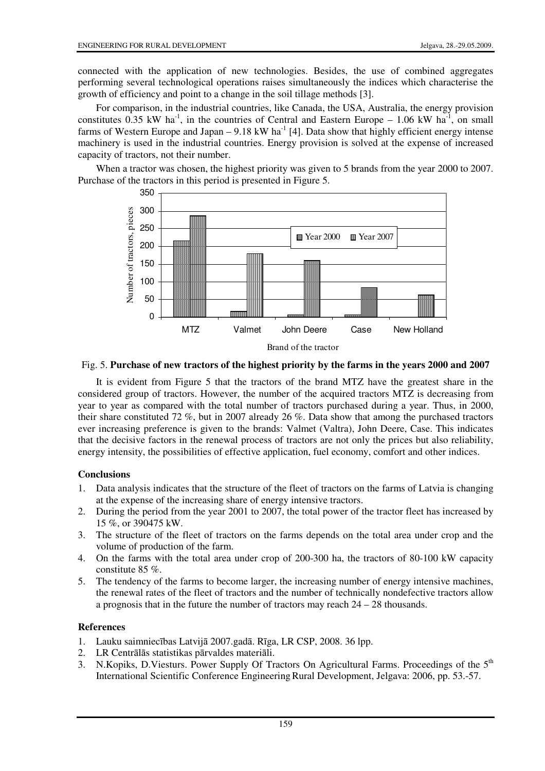connected with the application of new technologies. Besides, the use of combined aggregates performing several technological operations raises simultaneously the indices which characterise the growth of efficiency and point to a change in the soil tillage methods [3].

For comparison, in the industrial countries, like Canada, the USA, Australia, the energy provision constitutes  $0.35$  kW ha<sup>-1</sup>, in the countries of Central and Eastern Europe – 1.06 kW ha<sup>-1</sup>, on small farms of Western Europe and Japan –  $9.18 \text{ kW}$  ha<sup>-1</sup> [4]. Data show that highly efficient energy intense machinery is used in the industrial countries. Energy provision is solved at the expense of increased capacity of tractors, not their number.

When a tractor was chosen, the highest priority was given to 5 brands from the year 2000 to 2007. Purchase of the tractors in this period is presented in Figure 5.



Fig. 5. **Purchase of new tractors of the highest priority by the farms in the years 2000 and 2007** 

It is evident from Figure 5 that the tractors of the brand MTZ have the greatest share in the considered group of tractors. However, the number of the acquired tractors MTZ is decreasing from year to year as compared with the total number of tractors purchased during a year. Thus, in 2000, their share constituted 72 %, but in 2007 already 26 %. Data show that among the purchased tractors ever increasing preference is given to the brands: Valmet (Valtra), John Deere, Case. This indicates that the decisive factors in the renewal process of tractors are not only the prices but also reliability, energy intensity, the possibilities of effective application, fuel economy, comfort and other indices.

# **Conclusions**

- 1. Data analysis indicates that the structure of the fleet of tractors on the farms of Latvia is changing at the expense of the increasing share of energy intensive tractors.
- 2. During the period from the year 2001 to 2007, the total power of the tractor fleet has increased by 15 %, or 390475 kW.
- 3. The structure of the fleet of tractors on the farms depends on the total area under crop and the volume of production of the farm.
- 4. On the farms with the total area under crop of 200-300 ha, the tractors of 80-100 kW capacity constitute 85 %.
- 5. The tendency of the farms to become larger, the increasing number of energy intensive machines, the renewal rates of the fleet of tractors and the number of technically nondefective tractors allow a prognosis that in the future the number of tractors may reach 24 – 28 thousands.

# **References**

- 1. Lauku saimniecības Latvijā 2007.gadā. Rīga, LR CSP, 2008. 36 lpp.
- 2. LR Centrālās statistikas pārvaldes materiāli.
- 3. N.Kopiks, D.Viesturs. Power Supply Of Tractors On Agricultural Farms. Proceedings of the  $5<sup>th</sup>$ International Scientific Conference EngineeringRural Development, Jelgava: 2006, pp. 53.-57.